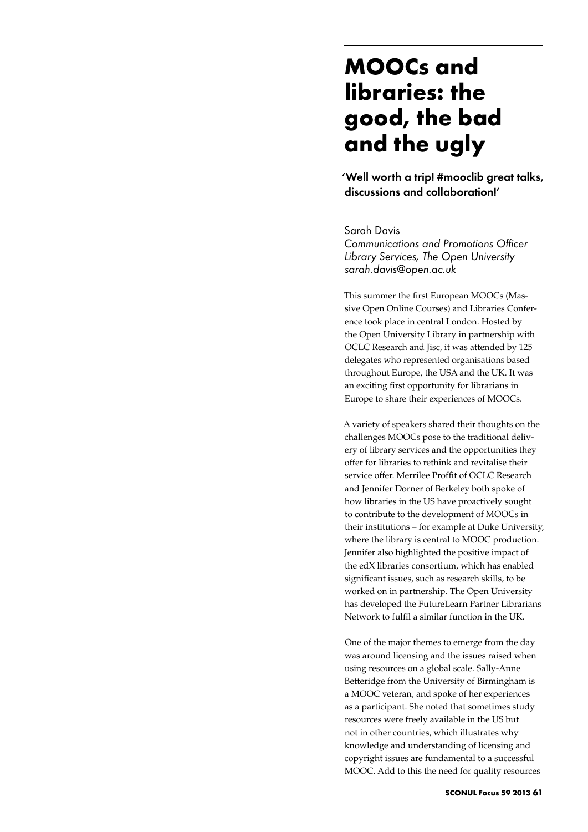## **MOOCs and libraries: the good, the bad and the ugly**

'Well worth a trip! #mooclib great talks, discussions and collaboration!'

Sarah Davis

*Communications and Promotions Officer Library Services, The Open University sarah.davis@open.ac.uk* 

This summer the first European MOOCs (Massive Open Online Courses) and Libraries Conference took place in central London. Hosted by the Open University Library in partnership with OCLC Research and Jisc, it was attended by 125 delegates who represented organisations based throughout Europe, the USA and the UK. It was an exciting first opportunity for librarians in Europe to share their experiences of MOOCs.

A variety of speakers shared their thoughts on the challenges MOOCs pose to the traditional delivery of library services and the opportunities they offer for libraries to rethink and revitalise their service offer. Merrilee Proffit of OCLC Research and Jennifer Dorner of Berkeley both spoke of how libraries in the US have proactively sought to contribute to the development of MOOCs in their institutions – for example at Duke University, where the library is central to MOOC production. Jennifer also highlighted the positive impact of the edX libraries consortium, which has enabled significant issues, such as research skills, to be worked on in partnership. The Open University has developed the FutureLearn Partner Librarians Network to fulfil a similar function in the UK.

One of the major themes to emerge from the day was around licensing and the issues raised when using resources on a global scale. Sally-Anne Betteridge from the University of Birmingham is a MOOC veteran, and spoke of her experiences as a participant. She noted that sometimes study resources were freely available in the US but not in other countries, which illustrates why knowledge and understanding of licensing and copyright issues are fundamental to a successful MOOC. Add to this the need for quality resources